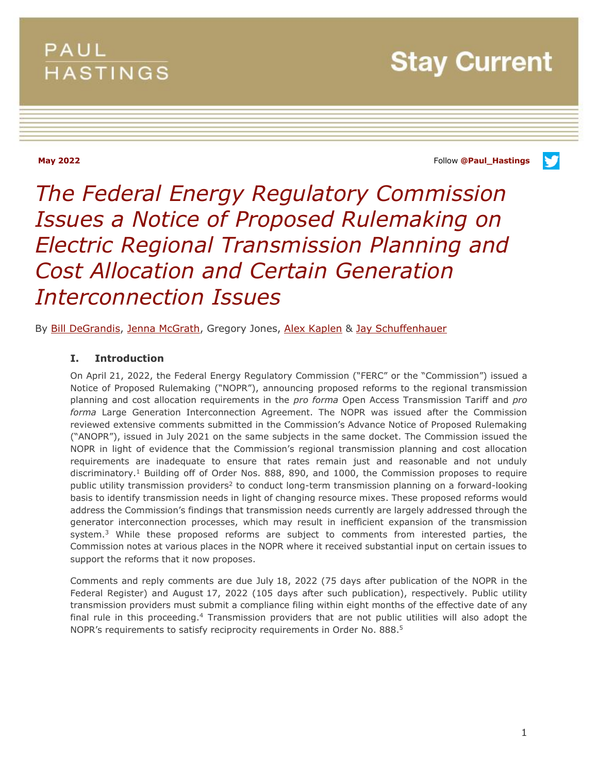# PAUL **HASTINGS**

**Stay Current** 

**May 2022** Follow **[@Paul\\_Hastings](http://twitter.com/Paul_Hastings)**

v

# *The Federal Energy Regulatory Commission Issues a Notice of Proposed Rulemaking on Electric Regional Transmission Planning and Cost Allocation and Certain Generation Interconnection Issues*

By [Bill DeGrandis,](https://www.paulhastings.com/professionals/billdegrandis) [Jenna McGrath,](https://www.paulhastings.com/professionals/jennamcgrath) Gregory Jones, [Alex Kaplen](https://www.paulhastings.com/professionals/alexanderkaplen) & [Jay Schuffenhauer](https://www.paulhastings.com/professionals/jayschuffenhauer)

#### **I. Introduction**

On April 21, 2022, the Federal Energy Regulatory Commission ("FERC" or the "Commission") issued a Notice of Proposed Rulemaking ("NOPR"), announcing proposed reforms to the regional transmission planning and cost allocation requirements in the *pro forma* Open Access Transmission Tariff and *pro forma* Large Generation Interconnection Agreement. The NOPR was issued after the Commission reviewed extensive comments submitted in the Commission's Advance Notice of Proposed Rulemaking ("ANOPR"), issued in July 2021 on the same subjects in the same docket. The Commission issued the NOPR in light of evidence that the Commission's regional transmission planning and cost allocation requirements are inadequate to ensure that rates remain just and reasonable and not unduly discriminatory.<sup>1</sup> Building off of Order Nos. 888, 890, and 1000, the Commission proposes to require public utility transmission providers<sup>2</sup> to conduct long-term transmission planning on a forward-looking basis to identify transmission needs in light of changing resource mixes. These proposed reforms would address the Commission's findings that transmission needs currently are largely addressed through the generator interconnection processes, which may result in inefficient expansion of the transmission system.<sup>3</sup> While these proposed reforms are subject to comments from interested parties, the Commission notes at various places in the NOPR where it received substantial input on certain issues to support the reforms that it now proposes.

Comments and reply comments are due July 18, 2022 (75 days after publication of the NOPR in the Federal Register) and August 17, 2022 (105 days after such publication), respectively. Public utility transmission providers must submit a compliance filing within eight months of the effective date of any final rule in this proceeding.<sup>4</sup> Transmission providers that are not public utilities will also adopt the NOPR's requirements to satisfy reciprocity requirements in Order No. 888.<sup>5</sup>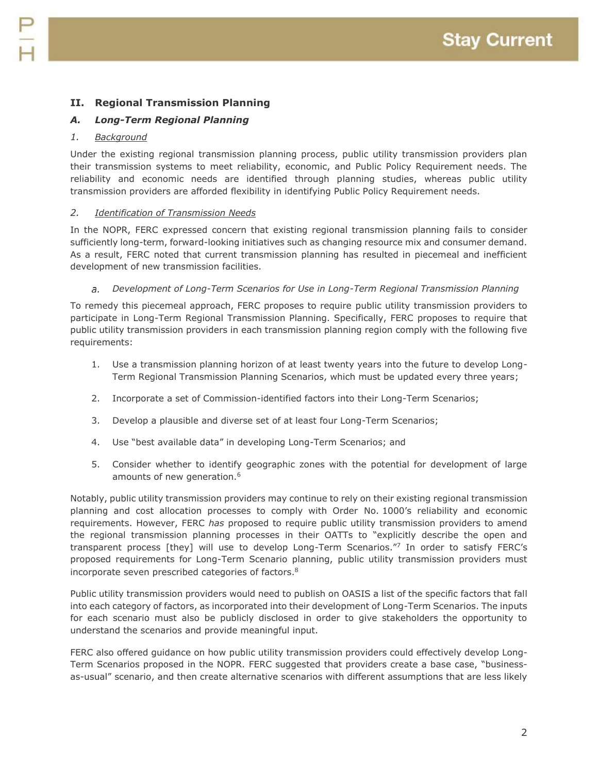## **II. Regional Transmission Planning**

### *A. Long-Term Regional Planning*

#### *1. Background*

Under the existing regional transmission planning process, public utility transmission providers plan their transmission systems to meet reliability, economic, and Public Policy Requirement needs. The reliability and economic needs are identified through planning studies, whereas public utility transmission providers are afforded flexibility in identifying Public Policy Requirement needs.

#### *2. Identification of Transmission Needs*

In the NOPR, FERC expressed concern that existing regional transmission planning fails to consider sufficiently long-term, forward-looking initiatives such as changing resource mix and consumer demand. As a result, FERC noted that current transmission planning has resulted in piecemeal and inefficient development of new transmission facilities.

#### *Development of Long-Term Scenarios for Use in Long-Term Regional Transmission Planning*  $\partial$ .

To remedy this piecemeal approach, FERC proposes to require public utility transmission providers to participate in Long-Term Regional Transmission Planning. Specifically, FERC proposes to require that public utility transmission providers in each transmission planning region comply with the following five requirements:

- 1. Use a transmission planning horizon of at least twenty years into the future to develop Long-Term Regional Transmission Planning Scenarios, which must be updated every three years;
- 2. Incorporate a set of Commission-identified factors into their Long-Term Scenarios;
- 3. Develop a plausible and diverse set of at least four Long-Term Scenarios;
- 4. Use "best available data" in developing Long-Term Scenarios; and
- 5. Consider whether to identify geographic zones with the potential for development of large amounts of new generation.<sup>6</sup>

Notably, public utility transmission providers may continue to rely on their existing regional transmission planning and cost allocation processes to comply with Order No. 1000's reliability and economic requirements. However, FERC *has* proposed to require public utility transmission providers to amend the regional transmission planning processes in their OATTs to "explicitly describe the open and transparent process [they] will use to develop Long-Term Scenarios." 7 In order to satisfy FERC's proposed requirements for Long-Term Scenario planning, public utility transmission providers must incorporate seven prescribed categories of factors.<sup>8</sup>

Public utility transmission providers would need to publish on OASIS a list of the specific factors that fall into each category of factors, as incorporated into their development of Long-Term Scenarios. The inputs for each scenario must also be publicly disclosed in order to give stakeholders the opportunity to understand the scenarios and provide meaningful input.

FERC also offered guidance on how public utility transmission providers could effectively develop Long-Term Scenarios proposed in the NOPR. FERC suggested that providers create a base case, "businessas-usual" scenario, and then create alternative scenarios with different assumptions that are less likely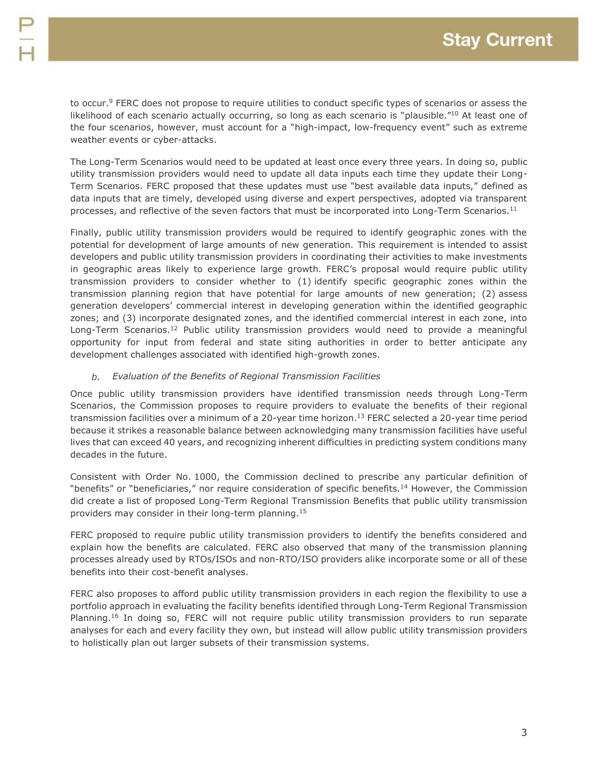to occur.<sup>9</sup> FERC does not propose to require utilities to conduct specific types of scenarios or assess the likelihood of each scenario actually occurring, so long as each scenario is "plausible."<sup>10</sup> At least one of the four scenarios, however, must account for a "high-impact, low-frequency event" such as extreme weather events or cyber-attacks.

The Long-Term Scenarios would need to be updated at least once every three years. In doing so, public utility transmission providers would need to update all data inputs each time they update their Long-Term Scenarios. FERC proposed that these updates must use "best available data inputs," defined as data inputs that are timely, developed using diverse and expert perspectives, adopted via transparent processes, and reflective of the seven factors that must be incorporated into Long-Term Scenarios.<sup>11</sup>

Finally, public utility transmission providers would be required to identify geographic zones with the potential for development of large amounts of new generation. This requirement is intended to assist developers and public utility transmission providers in coordinating their activities to make investments in geographic areas likely to experience large growth. FERC's proposal would require public utility transmission providers to consider whether to (1) identify specific geographic zones within the transmission planning region that have potential for large amounts of new generation; (2) assess generation developers' commercial interest in developing generation within the identified geographic zones; and (3) incorporate designated zones, and the identified commercial interest in each zone, into Long-Term Scenarios.<sup>12</sup> Public utility transmission providers would need to provide a meaningful opportunity for input from federal and state siting authorities in order to better anticipate any development challenges associated with identified high-growth zones.

#### *Evaluation of the Benefits of Regional Transmission Facilities*

Once public utility transmission providers have identified transmission needs through Long-Term Scenarios, the Commission proposes to require providers to evaluate the benefits of their regional transmission facilities over a minimum of a 20-year time horizon.<sup>13</sup> FERC selected a 20-year time period because it strikes a reasonable balance between acknowledging many transmission facilities have useful lives that can exceed 40 years, and recognizing inherent difficulties in predicting system conditions many decades in the future.

Consistent with Order No. 1000, the Commission declined to prescribe any particular definition of "benefits" or "beneficiaries," nor require consideration of specific benefits.<sup>14</sup> However, the Commission did create a list of proposed Long-Term Regional Transmission Benefits that public utility transmission providers may consider in their long-term planning.<sup>15</sup>

FERC proposed to require public utility transmission providers to identify the benefits considered and explain how the benefits are calculated. FERC also observed that many of the transmission planning processes already used by RTOs/ISOs and non-RTO/ISO providers alike incorporate some or all of these benefits into their cost-benefit analyses.

FERC also proposes to afford public utility transmission providers in each region the flexibility to use a portfolio approach in evaluating the facility benefits identified through Long-Term Regional Transmission Planning.<sup>16</sup> In doing so, FERC will not require public utility transmission providers to run separate analyses for each and every facility they own, but instead will allow public utility transmission providers to holistically plan out larger subsets of their transmission systems.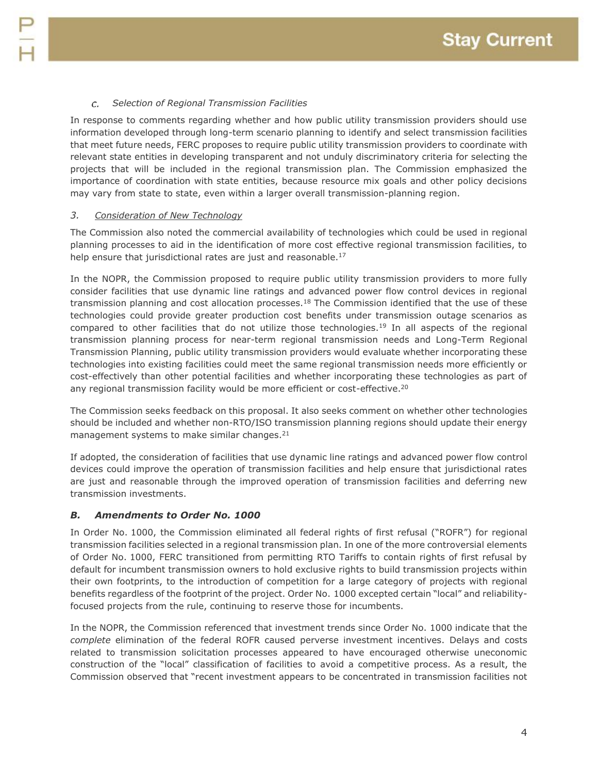#### *Selection of Regional Transmission Facilities* C.

In response to comments regarding whether and how public utility transmission providers should use information developed through long-term scenario planning to identify and select transmission facilities that meet future needs, FERC proposes to require public utility transmission providers to coordinate with relevant state entities in developing transparent and not unduly discriminatory criteria for selecting the projects that will be included in the regional transmission plan. The Commission emphasized the importance of coordination with state entities, because resource mix goals and other policy decisions may vary from state to state, even within a larger overall transmission-planning region.

#### *3. Consideration of New Technology*

The Commission also noted the commercial availability of technologies which could be used in regional planning processes to aid in the identification of more cost effective regional transmission facilities, to help ensure that jurisdictional rates are just and reasonable.<sup>17</sup>

In the NOPR, the Commission proposed to require public utility transmission providers to more fully consider facilities that use dynamic line ratings and advanced power flow control devices in regional transmission planning and cost allocation processes.<sup>18</sup> The Commission identified that the use of these technologies could provide greater production cost benefits under transmission outage scenarios as compared to other facilities that do not utilize those technologies.<sup>19</sup> In all aspects of the regional transmission planning process for near-term regional transmission needs and Long-Term Regional Transmission Planning, public utility transmission providers would evaluate whether incorporating these technologies into existing facilities could meet the same regional transmission needs more efficiently or cost-effectively than other potential facilities and whether incorporating these technologies as part of any regional transmission facility would be more efficient or cost-effective.<sup>20</sup>

The Commission seeks feedback on this proposal. It also seeks comment on whether other technologies should be included and whether non-RTO/ISO transmission planning regions should update their energy management systems to make similar changes.<sup>21</sup>

If adopted, the consideration of facilities that use dynamic line ratings and advanced power flow control devices could improve the operation of transmission facilities and help ensure that jurisdictional rates are just and reasonable through the improved operation of transmission facilities and deferring new transmission investments.

#### *B. Amendments to Order No. 1000*

In Order No. 1000, the Commission eliminated all federal rights of first refusal ("ROFR") for regional transmission facilities selected in a regional transmission plan. In one of the more controversial elements of Order No. 1000, FERC transitioned from permitting RTO Tariffs to contain rights of first refusal by default for incumbent transmission owners to hold exclusive rights to build transmission projects within their own footprints, to the introduction of competition for a large category of projects with regional benefits regardless of the footprint of the project. Order No. 1000 excepted certain "local" and reliabilityfocused projects from the rule, continuing to reserve those for incumbents.

In the NOPR, the Commission referenced that investment trends since Order No. 1000 indicate that the *complete* elimination of the federal ROFR caused perverse investment incentives. Delays and costs related to transmission solicitation processes appeared to have encouraged otherwise uneconomic construction of the "local" classification of facilities to avoid a competitive process. As a result, the Commission observed that "recent investment appears to be concentrated in transmission facilities not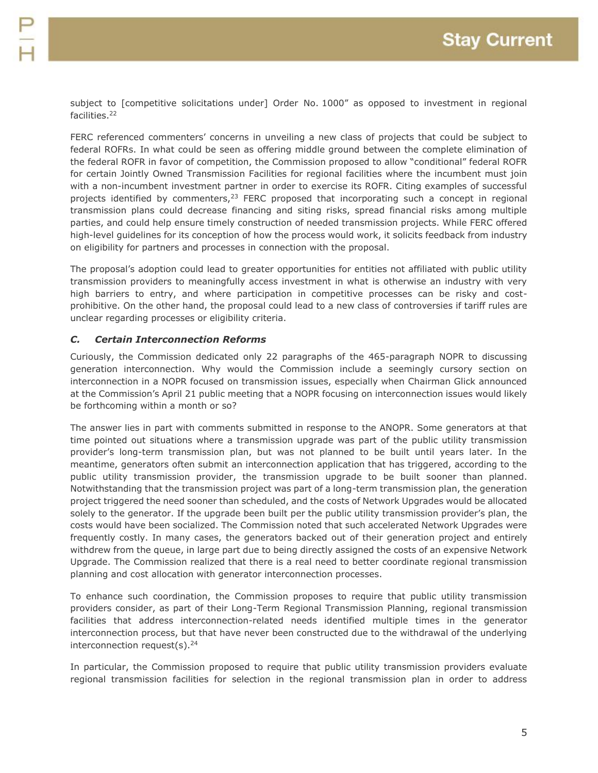subject to [competitive solicitations under] Order No. 1000" as opposed to investment in regional facilities.<sup>22</sup>

FERC referenced commenters' concerns in unveiling a new class of projects that could be subject to federal ROFRs. In what could be seen as offering middle ground between the complete elimination of the federal ROFR in favor of competition, the Commission proposed to allow "conditional" federal ROFR for certain Jointly Owned Transmission Facilities for regional facilities where the incumbent must join with a non-incumbent investment partner in order to exercise its ROFR. Citing examples of successful projects identified by commenters, $23$  FERC proposed that incorporating such a concept in regional transmission plans could decrease financing and siting risks, spread financial risks among multiple parties, and could help ensure timely construction of needed transmission projects. While FERC offered high-level guidelines for its conception of how the process would work, it solicits feedback from industry on eligibility for partners and processes in connection with the proposal.

The proposal's adoption could lead to greater opportunities for entities not affiliated with public utility transmission providers to meaningfully access investment in what is otherwise an industry with very high barriers to entry, and where participation in competitive processes can be risky and costprohibitive. On the other hand, the proposal could lead to a new class of controversies if tariff rules are unclear regarding processes or eligibility criteria.

#### *C. Certain Interconnection Reforms*

Curiously, the Commission dedicated only 22 paragraphs of the 465-paragraph NOPR to discussing generation interconnection. Why would the Commission include a seemingly cursory section on interconnection in a NOPR focused on transmission issues, especially when Chairman Glick announced at the Commission's April 21 public meeting that a NOPR focusing on interconnection issues would likely be forthcoming within a month or so?

The answer lies in part with comments submitted in response to the ANOPR. Some generators at that time pointed out situations where a transmission upgrade was part of the public utility transmission provider's long-term transmission plan, but was not planned to be built until years later. In the meantime, generators often submit an interconnection application that has triggered, according to the public utility transmission provider, the transmission upgrade to be built sooner than planned. Notwithstanding that the transmission project was part of a long-term transmission plan, the generation project triggered the need sooner than scheduled, and the costs of Network Upgrades would be allocated solely to the generator. If the upgrade been built per the public utility transmission provider's plan, the costs would have been socialized. The Commission noted that such accelerated Network Upgrades were frequently costly. In many cases, the generators backed out of their generation project and entirely withdrew from the queue, in large part due to being directly assigned the costs of an expensive Network Upgrade. The Commission realized that there is a real need to better coordinate regional transmission planning and cost allocation with generator interconnection processes.

To enhance such coordination, the Commission proposes to require that public utility transmission providers consider, as part of their Long-Term Regional Transmission Planning, regional transmission facilities that address interconnection-related needs identified multiple times in the generator interconnection process, but that have never been constructed due to the withdrawal of the underlying interconnection request(s).<sup>24</sup>

In particular, the Commission proposed to require that public utility transmission providers evaluate regional transmission facilities for selection in the regional transmission plan in order to address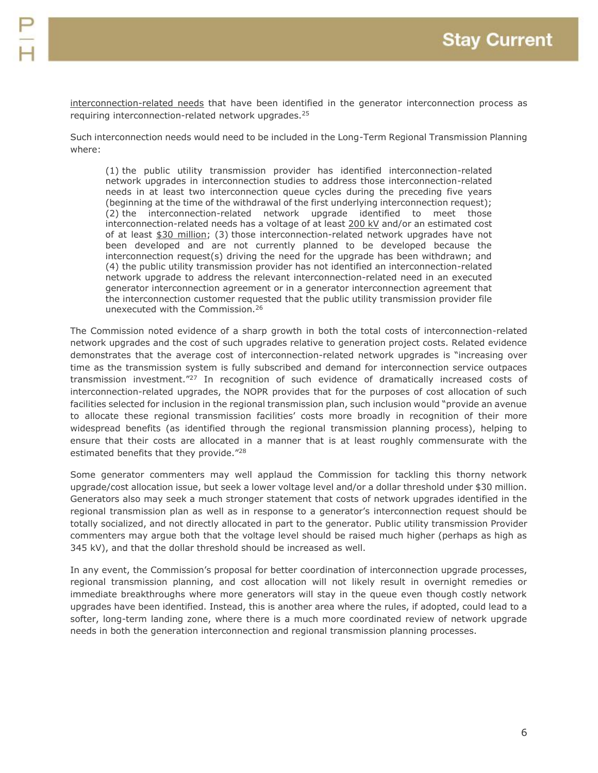interconnection-related needs that have been identified in the generator interconnection process as requiring interconnection-related network upgrades.<sup>25</sup>

Such interconnection needs would need to be included in the Long-Term Regional Transmission Planning where:

(1) the public utility transmission provider has identified interconnection-related network upgrades in interconnection studies to address those interconnection-related needs in at least two interconnection queue cycles during the preceding five years (beginning at the time of the withdrawal of the first underlying interconnection request); (2) the interconnection-related network upgrade identified to meet those interconnection-related needs has a voltage of at least 200 kV and/or an estimated cost of at least \$30 million; (3) those interconnection-related network upgrades have not been developed and are not currently planned to be developed because the interconnection request(s) driving the need for the upgrade has been withdrawn; and (4) the public utility transmission provider has not identified an interconnection-related network upgrade to address the relevant interconnection-related need in an executed generator interconnection agreement or in a generator interconnection agreement that the interconnection customer requested that the public utility transmission provider file unexecuted with the Commission.<sup>26</sup>

The Commission noted evidence of a sharp growth in both the total costs of interconnection-related network upgrades and the cost of such upgrades relative to generation project costs. Related evidence demonstrates that the average cost of interconnection-related network upgrades is "increasing over time as the transmission system is fully subscribed and demand for interconnection service outpaces transmission investment."<sup>27</sup> In recognition of such evidence of dramatically increased costs of interconnection-related upgrades, the NOPR provides that for the purposes of cost allocation of such facilities selected for inclusion in the regional transmission plan, such inclusion would "provide an avenue to allocate these regional transmission facilities' costs more broadly in recognition of their more widespread benefits (as identified through the regional transmission planning process), helping to ensure that their costs are allocated in a manner that is at least roughly commensurate with the estimated benefits that they provide."<sup>28</sup>

Some generator commenters may well applaud the Commission for tackling this thorny network upgrade/cost allocation issue, but seek a lower voltage level and/or a dollar threshold under \$30 million. Generators also may seek a much stronger statement that costs of network upgrades identified in the regional transmission plan as well as in response to a generator's interconnection request should be totally socialized, and not directly allocated in part to the generator. Public utility transmission Provider commenters may argue both that the voltage level should be raised much higher (perhaps as high as 345 kV), and that the dollar threshold should be increased as well.

In any event, the Commission's proposal for better coordination of interconnection upgrade processes, regional transmission planning, and cost allocation will not likely result in overnight remedies or immediate breakthroughs where more generators will stay in the queue even though costly network upgrades have been identified. Instead, this is another area where the rules, if adopted, could lead to a softer, long-term landing zone, where there is a much more coordinated review of network upgrade needs in both the generation interconnection and regional transmission planning processes.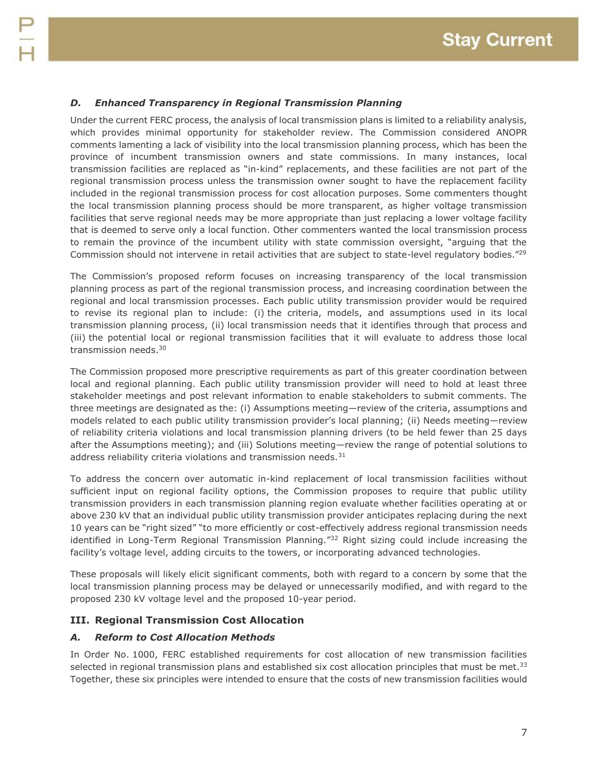#### *D. Enhanced Transparency in Regional Transmission Planning*

Under the current FERC process, the analysis of local transmission plans is limited to a reliability analysis, which provides minimal opportunity for stakeholder review. The Commission considered ANOPR comments lamenting a lack of visibility into the local transmission planning process, which has been the province of incumbent transmission owners and state commissions. In many instances, local transmission facilities are replaced as "in-kind" replacements, and these facilities are not part of the regional transmission process unless the transmission owner sought to have the replacement facility included in the regional transmission process for cost allocation purposes. Some commenters thought the local transmission planning process should be more transparent, as higher voltage transmission facilities that serve regional needs may be more appropriate than just replacing a lower voltage facility that is deemed to serve only a local function. Other commenters wanted the local transmission process to remain the province of the incumbent utility with state commission oversight, "arguing that the Commission should not intervene in retail activities that are subject to state-level regulatory bodies."<sup>29</sup>

The Commission's proposed reform focuses on increasing transparency of the local transmission planning process as part of the regional transmission process, and increasing coordination between the regional and local transmission processes. Each public utility transmission provider would be required to revise its regional plan to include: (i) the criteria, models, and assumptions used in its local transmission planning process, (ii) local transmission needs that it identifies through that process and (iii) the potential local or regional transmission facilities that it will evaluate to address those local transmission needs.<sup>30</sup>

The Commission proposed more prescriptive requirements as part of this greater coordination between local and regional planning. Each public utility transmission provider will need to hold at least three stakeholder meetings and post relevant information to enable stakeholders to submit comments. The three meetings are designated as the: (i) Assumptions meeting—review of the criteria, assumptions and models related to each public utility transmission provider's local planning; (ii) Needs meeting—review of reliability criteria violations and local transmission planning drivers (to be held fewer than 25 days after the Assumptions meeting); and (iii) Solutions meeting—review the range of potential solutions to address reliability criteria violations and transmission needs.<sup>31</sup>

To address the concern over automatic in-kind replacement of local transmission facilities without sufficient input on regional facility options, the Commission proposes to require that public utility transmission providers in each transmission planning region evaluate whether facilities operating at or above 230 kV that an individual public utility transmission provider anticipates replacing during the next 10 years can be "right sized" "to more efficiently or cost-effectively address regional transmission needs identified in Long-Term Regional Transmission Planning."<sup>32</sup> Right sizing could include increasing the facility's voltage level, adding circuits to the towers, or incorporating advanced technologies.

These proposals will likely elicit significant comments, both with regard to a concern by some that the local transmission planning process may be delayed or unnecessarily modified, and with regard to the proposed 230 kV voltage level and the proposed 10-year period.

#### **III. Regional Transmission Cost Allocation**

#### *A. Reform to Cost Allocation Methods*

In Order No. 1000, FERC established requirements for cost allocation of new transmission facilities selected in regional transmission plans and established six cost allocation principles that must be met.<sup>33</sup> Together, these six principles were intended to ensure that the costs of new transmission facilities would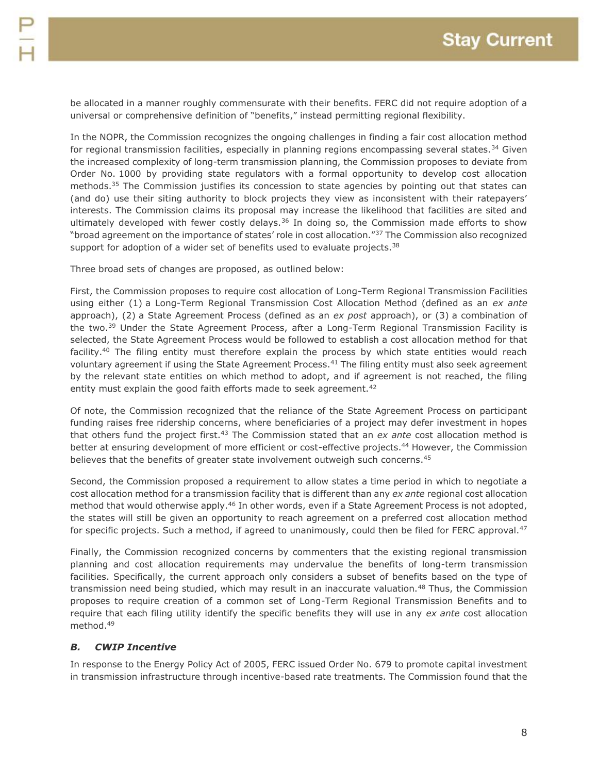be allocated in a manner roughly commensurate with their benefits. FERC did not require adoption of a universal or comprehensive definition of "benefits," instead permitting regional flexibility.

In the NOPR, the Commission recognizes the ongoing challenges in finding a fair cost allocation method for regional transmission facilities, especially in planning regions encompassing several states.<sup>34</sup> Given the increased complexity of long-term transmission planning, the Commission proposes to deviate from Order No. 1000 by providing state regulators with a formal opportunity to develop cost allocation methods.<sup>35</sup> The Commission justifies its concession to state agencies by pointing out that states can (and do) use their siting authority to block projects they view as inconsistent with their ratepayers' interests. The Commission claims its proposal may increase the likelihood that facilities are sited and ultimately developed with fewer costly delays.<sup>36</sup> In doing so, the Commission made efforts to show "broad agreement on the importance of states' role in cost allocation."<sup>37</sup> The Commission also recognized support for adoption of a wider set of benefits used to evaluate projects.<sup>38</sup>

Three broad sets of changes are proposed, as outlined below:

First, the Commission proposes to require cost allocation of Long-Term Regional Transmission Facilities using either (1) a Long-Term Regional Transmission Cost Allocation Method (defined as an *ex ante* approach), (2) a State Agreement Process (defined as an *ex post* approach), or (3) a combination of the two.<sup>39</sup> Under the State Agreement Process, after a Long-Term Regional Transmission Facility is selected, the State Agreement Process would be followed to establish a cost allocation method for that facility.<sup>40</sup> The filing entity must therefore explain the process by which state entities would reach voluntary agreement if using the State Agreement Process.<sup>41</sup> The filing entity must also seek agreement by the relevant state entities on which method to adopt, and if agreement is not reached, the filing entity must explain the good faith efforts made to seek agreement.<sup>42</sup>

Of note, the Commission recognized that the reliance of the State Agreement Process on participant funding raises free ridership concerns, where beneficiaries of a project may defer investment in hopes that others fund the project first.<sup>43</sup> The Commission stated that an *ex ante* cost allocation method is better at ensuring development of more efficient or cost-effective projects.<sup>44</sup> However, the Commission believes that the benefits of greater state involvement outweigh such concerns.<sup>45</sup>

Second, the Commission proposed a requirement to allow states a time period in which to negotiate a cost allocation method for a transmission facility that is different than any *ex ante* regional cost allocation method that would otherwise apply.<sup>46</sup> In other words, even if a State Agreement Process is not adopted, the states will still be given an opportunity to reach agreement on a preferred cost allocation method for specific projects. Such a method, if agreed to unanimously, could then be filed for FERC approval.<sup>47</sup>

Finally, the Commission recognized concerns by commenters that the existing regional transmission planning and cost allocation requirements may undervalue the benefits of long-term transmission facilities. Specifically, the current approach only considers a subset of benefits based on the type of transmission need being studied, which may result in an inaccurate valuation.<sup>48</sup> Thus, the Commission proposes to require creation of a common set of Long-Term Regional Transmission Benefits and to require that each filing utility identify the specific benefits they will use in any *ex ante* cost allocation method.<sup>49</sup>

### *B. CWIP Incentive*

In response to the Energy Policy Act of 2005, FERC issued Order No. 679 to promote capital investment in transmission infrastructure through incentive-based rate treatments. The Commission found that the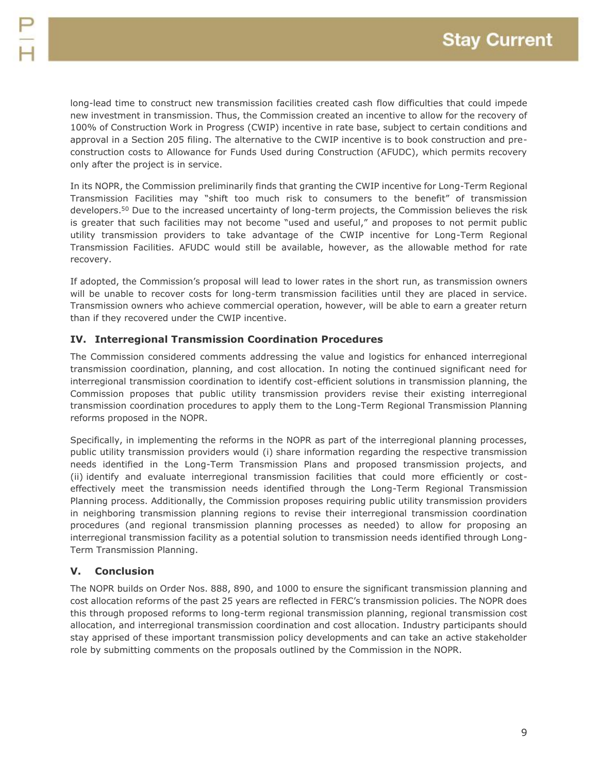long-lead time to construct new transmission facilities created cash flow difficulties that could impede new investment in transmission. Thus, the Commission created an incentive to allow for the recovery of 100% of Construction Work in Progress (CWIP) incentive in rate base, subject to certain conditions and approval in a Section 205 filing. The alternative to the CWIP incentive is to book construction and preconstruction costs to Allowance for Funds Used during Construction (AFUDC), which permits recovery only after the project is in service.

In its NOPR, the Commission preliminarily finds that granting the CWIP incentive for Long-Term Regional Transmission Facilities may "shift too much risk to consumers to the benefit" of transmission developers.<sup>50</sup> Due to the increased uncertainty of long-term projects, the Commission believes the risk is greater that such facilities may not become "used and useful," and proposes to not permit public utility transmission providers to take advantage of the CWIP incentive for Long-Term Regional Transmission Facilities. AFUDC would still be available, however, as the allowable method for rate recovery.

If adopted, the Commission's proposal will lead to lower rates in the short run, as transmission owners will be unable to recover costs for long-term transmission facilities until they are placed in service. Transmission owners who achieve commercial operation, however, will be able to earn a greater return than if they recovered under the CWIP incentive.

### **IV. Interregional Transmission Coordination Procedures**

The Commission considered comments addressing the value and logistics for enhanced interregional transmission coordination, planning, and cost allocation. In noting the continued significant need for interregional transmission coordination to identify cost-efficient solutions in transmission planning, the Commission proposes that public utility transmission providers revise their existing interregional transmission coordination procedures to apply them to the Long-Term Regional Transmission Planning reforms proposed in the NOPR.

Specifically, in implementing the reforms in the NOPR as part of the interregional planning processes, public utility transmission providers would (i) share information regarding the respective transmission needs identified in the Long-Term Transmission Plans and proposed transmission projects, and (ii) identify and evaluate interregional transmission facilities that could more efficiently or costeffectively meet the transmission needs identified through the Long-Term Regional Transmission Planning process. Additionally, the Commission proposes requiring public utility transmission providers in neighboring transmission planning regions to revise their interregional transmission coordination procedures (and regional transmission planning processes as needed) to allow for proposing an interregional transmission facility as a potential solution to transmission needs identified through Long-Term Transmission Planning.

### **V. Conclusion**

The NOPR builds on Order Nos. 888, 890, and 1000 to ensure the significant transmission planning and cost allocation reforms of the past 25 years are reflected in FERC's transmission policies. The NOPR does this through proposed reforms to long-term regional transmission planning, regional transmission cost allocation, and interregional transmission coordination and cost allocation. Industry participants should stay apprised of these important transmission policy developments and can take an active stakeholder role by submitting comments on the proposals outlined by the Commission in the NOPR.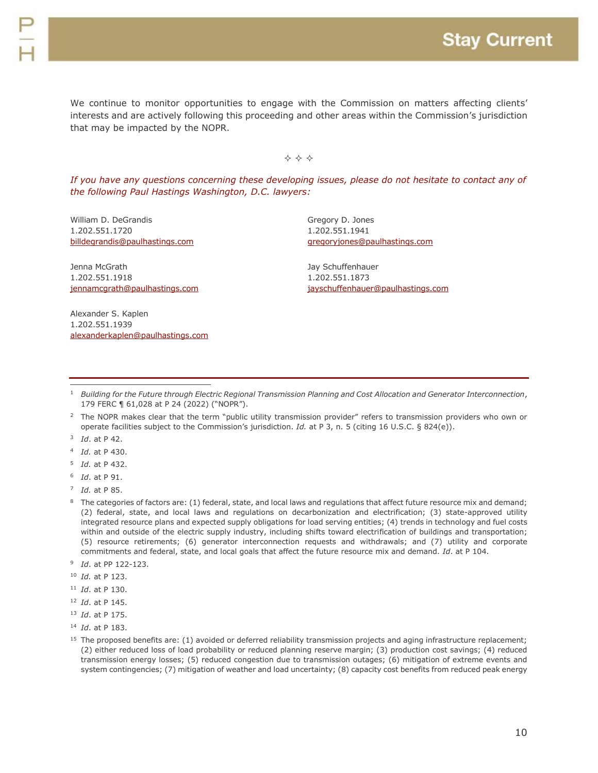We continue to monitor opportunities to engage with the Commission on matters affecting clients' interests and are actively following this proceeding and other areas within the Commission's jurisdiction that may be impacted by the NOPR.

 $\Leftrightarrow$   $\Leftrightarrow$   $\Leftrightarrow$ 

*If you have any questions concerning these developing issues, please do not hesitate to contact any of the following Paul Hastings Washington, D.C. lawyers:*

William D. DeGrandis 1.202.551.1720 [billdegrandis@paulhastings.com](mailto:billdegrandis@paulhastings.com)

Jenna McGrath 1.202.551.1918 [jennamcgrath@paulhastings.com](mailto:jennamcgrath@paulhastings.com)

Alexander S. Kaplen 1.202.551.1939 [alexanderkaplen@paulhastings.com](mailto:alexanderkaplen@paulhastings.com) Gregory D. Jones 1.202.551.1941 [gregoryjones@paulhastings.com](mailto:gregoryjones@paulhastings.com)

Jay Schuffenhauer 1.202.551.1873 [jayschuffenhauer@paulhastings.com](mailto:jayschuffenhauer@paulhastings.com)

3 *Id*. at P 42.

 $\overline{a}$ 

- 4 *Id.* at P 430.
- 5 *Id.* at P 432.
- 6 *Id*. at P 91.

- 9 *Id*. at PP 122-123.
- <sup>10</sup> *Id.* at P 123.
- <sup>11</sup> *Id*. at P 130.
- <sup>12</sup> *Id*. at P 145.
- <sup>13</sup> *Id*. at P 175.
- <sup>14</sup> *Id*. at P 183.
- <sup>15</sup> The proposed benefits are: (1) avoided or deferred reliability transmission projects and aging infrastructure replacement; (2) either reduced loss of load probability or reduced planning reserve margin; (3) production cost savings; (4) reduced transmission energy losses; (5) reduced congestion due to transmission outages; (6) mitigation of extreme events and system contingencies; (7) mitigation of weather and load uncertainty; (8) capacity cost benefits from reduced peak energy

<sup>1</sup> *Building for the Future through Electric Regional Transmission Planning and Cost Allocation and Generator Interconnection*, 179 FERC ¶ 61,028 at P 24 (2022) ("NOPR").

<sup>&</sup>lt;sup>2</sup> The NOPR makes clear that the term "public utility transmission provider" refers to transmission providers who own or operate facilities subject to the Commission's jurisdiction. *Id.* at P 3, n. 5 (citing 16 U.S.C. § 824(e)).

<sup>7</sup> *Id.* at P 85.

<sup>&</sup>lt;sup>8</sup> The categories of factors are: (1) federal, state, and local laws and regulations that affect future resource mix and demand; (2) federal, state, and local laws and regulations on decarbonization and electrification; (3) state-approved utility integrated resource plans and expected supply obligations for load serving entities; (4) trends in technology and fuel costs within and outside of the electric supply industry, including shifts toward electrification of buildings and transportation; (5) resource retirements; (6) generator interconnection requests and withdrawals; and (7) utility and corporate commitments and federal, state, and local goals that affect the future resource mix and demand. *Id*. at P 104.